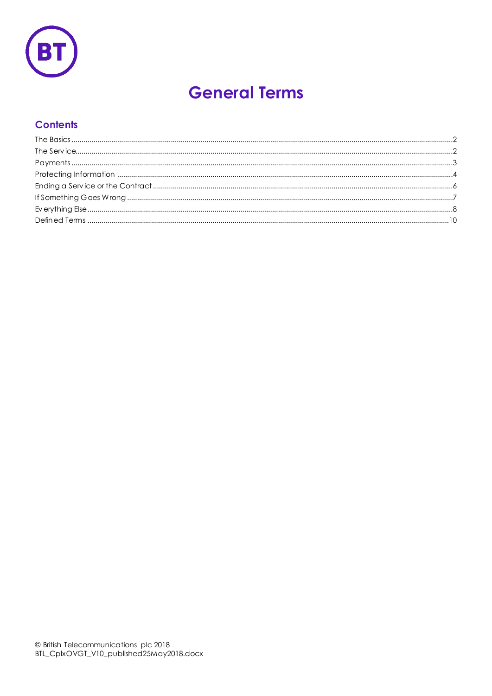

# **General Terms**

## **Contents**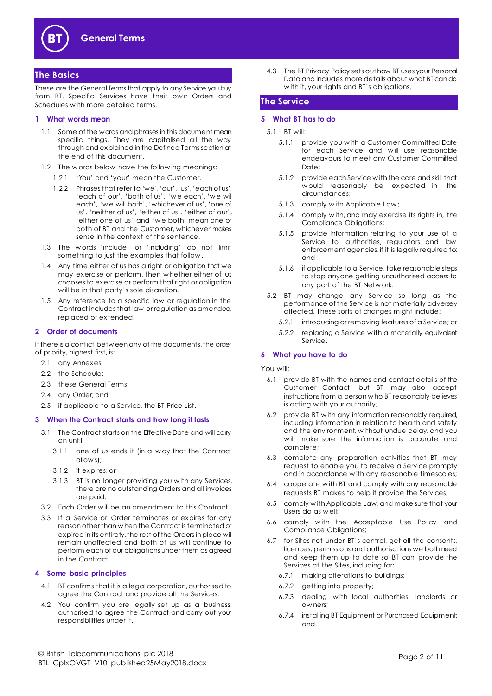

## <span id="page-1-0"></span>**The Basics**

These are the General Terms that apply to any Service you buy from BT. Specific Services have their own Orders and Schedules w ith more detailed terms.

#### **1 What words mean**

- 1.1 Some of the words and phrases in this document mean specific things. They are capitalised all the way through and explained in the Defined Terms section at the end of this document.
- 1.2 The w ords below have the following meanings:
	- 1.2.1 'You' and 'your' mean the Customer.
	- 1.2.2 Phrases that refer to 'we', 'our', 'us', 'each of us', 'each of our', 'both of us', 'w e each', 'w e will each', 'w e will both', 'whichever of us', 'one of us', 'neither of us', 'either of us', 'either of our', 'either one of us' and 'w e both' mean one or both of BT and the Customer, whichever makes sense in the context of the sentence.
- 1.3 The w ords 'include' or 'including' do not limit something to just the examples that follow .
- 1.4 Any time either of us has a right or obligation that we may exercise or perform, then w hether either of us chooses to exercise or perform that right or obligation w ill be in that party's sole discretion.
- 1.5 Any reference to a specific law or regulation in the Contract includes that law or regulation as amended, replaced or extended.

#### <span id="page-1-4"></span>**2 Order of documents**

If there is a conflict betw een any of the documents, the order of priority, highest first, is:

- 2.1 any Annexes;
- 2.2 the Schedule;
- 2.3 these General Terms;
- 2.4 any Order; and
- 2.5 if applicable to a Service, the BT Price List.

#### **3 When the Contract starts and how long it lasts**

- 3.1 The Contract starts on the Effective Date and will carry on until:
	- 3.1.1 one of us ends it (in a w ay that the Contract allow s);
	- 3.1.2 it expires; or
	- 3.1.3 BT is no longer providing you w ith any Services, there are no outstanding Orders and all invoices are paid.
- 3.2 Each Order w ill be an amendment to this Contract.
- 3.3 If a Service or Order terminates or expires for any reason other than w hen the Contract is terminated or expired in its entirety, the rest of the Orders in place will remain unaffected and both of us w ill continue to perform each of our obligations under them as agreed in the Contract.

#### **4 Some basic principles**

- 4.1 BT confirms that it is a legal corporation, authorised to agree the Contract and provide all the Services.
- 4.2 You confirm you are legally set up as a business, authorised to agree the Contract and carry out your responsibilities under it.

4.3 The BT Privacy Policy sets out how BT uses your Personal Data and includes more details about what BT can do w ith it, your rights and BT's obligations.

## <span id="page-1-1"></span>**The Service**

#### **5 What BT has to do**

- 5.1 BT w ill:
	- 5.1.1 provide you w ith a Customer Committed Date for each Service and w ill use reasonable endeavours to meet any Customer Committed Date;
	- 5.1.2 provide each Service w ith the care and skill that w ould reasonably be expected in the circumstances;
	- 5.1.3 comply w ith Applicable Law ;
	- 5.1.4 comply w ith, and may exercise its rights in, the Compliance Obligations;
	- 5.1.5 provide information relating to your use of a Service to authorities, regulators and law enforcement agencies, if it is legally required to; and
	- 5.1.6 if applicable to a Service, take reasonable steps to stop anyone getting unauthorised access to any part of the BT Netw ork.
- <span id="page-1-3"></span><span id="page-1-2"></span>5.2 BT may change any Service so long as the performance of the Service is not materially adversely affected. These sorts of changes might include:
	- 5.2.1 introducing or removing features of a Service; or
	- 5.2.2 replacing a Service w ith a materially equivalent Service.

#### **6 What you have to do**

#### You will:

- 6.1 provide BT with the names and contact details of the Customer Contact, but BT may also accept instructions from a person w ho BT reasonably believes is acting w ith your authority;
- 6.2 provide BT w ith any information reasonably required, including information in relation to health and safety and the environment, w ithout undue delay, and you will make sure the information is accurate and complete;
- 6.3 complete any preparation activities that BT may request to enable you to receive a Service promptly and in accordance w ith any reasonable timescales;
- 6.4 cooperate w ith BT and comply w ith any reasonable requests BT makes to help it provide the Services;
- 6.5 comply w ith Applicable Law, and make sure that your Users do as w ell;
- 6.6 comply w ith the Acceptable Use Policy and Compliance Obligations;
- 6.7 for Sites not under BT's control, get all the consents, licences, permissions and authorisations we both need and keep them up to date so BT can provide the Services at the Sites, including for:
	- 6.7.1 making alterations to buildings;
	- 6.7.2 getting into property;
	- 6.7.3 dealing w ith local authorities, landlords or ow ners;
	- 6.7.4 installing BT Equipment or Purchased Equipment; and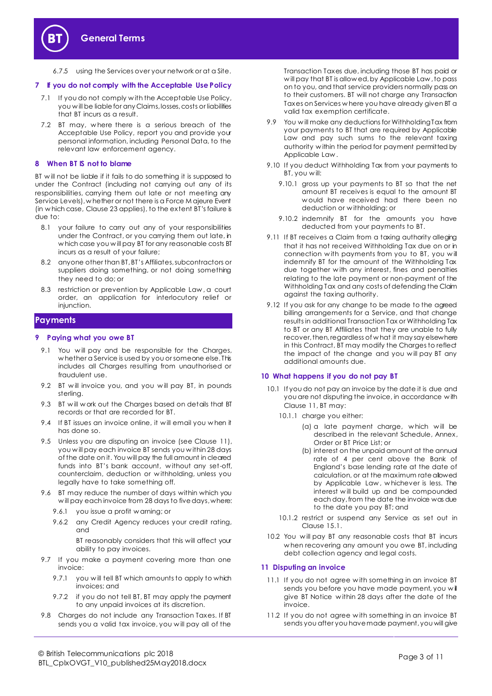

6.7.5 using the Services over your network or at a Site.

#### **7 If you do not comply with the Acceptable Use Policy**

- 7.1 If you do not comply with the Acceptable Use Policy, you w ill be liable for any Claims, losses, costs or liabilities that BT incurs as a result.
- 7.2 BT may, w here there is a serious breach of the Acceptable Use Policy, report you and provide your personal information, including Personal Data, to the relevant law enforcement agency.

#### **8 When BT IS not to blame**

BT w ill not be liable if it fails to do something it is supposed to under the Contract (including not carrying out any of its responsibilities, carrying them out late or not meeting any Service Levels), w hether or not there is a Force M ajeure Event (in w hich case, Clause [23](#page-7-1) applies), to the extent BT's failure is due to:

- 8.1 your failure to carry out any of your responsibilities under the Contract, or you carrying them out late, in w hich case you w ill pay BT for any reasonable costs BT incurs as a result of your failure;
- 8.2 anyone other than BT, BT's Affiliates, subcontractors or suppliers doing something, or not doing something they need to do; or
- 8.3 restriction or prevention by Applicable Law , a court order, an application for interlocutory relief or injunction.

#### <span id="page-2-0"></span>**Payments**

#### **9 Paying what you owe BT**

- 9.1 You will pay and be responsible for the Charges, w hether a Service is used by you or someone else. This includes all Charges resulting from unauthorised or fraudulent use.
- 9.2 BT will invoice you, and you will pay BT, in pounds sterling.
- 9.3 BT w ill w ork out the Charges based on details that BT records or that are recorded for BT.
- 9.4 If BT issues an invoice online, it will email you when it has done so.
- <span id="page-2-2"></span>9.5 Unless you are disputing an invoice (see Clause [11\)](#page-2-1), you w ill pay each invoice BT sends you w ithin 28 days of the date on it. You will pay the full amount in cleared funds into BT's bank account, w ithout any set-off, counterclaim, deduction or w ithholding, unless you legally have to take something off.
- 9.6 BT may reduce the number of days within which you w ill pay each invoice from 28 days to five days, where:
	- 9.6.1 you issue a profit w arning; or
	- 9.6.2 any Credit Agency reduces your credit rating, and

BT reasonably considers that this will affect your ability to pay invoices.

- 9.7 If you make a payment covering more than one invoice:
	- 9.7.1 you will tell BT which amounts to apply to which invoices; and
	- 9.7.2 if you do not tell BT, BT may apply the payment to any unpaid invoices at its discretion.
- 9.8 Charges do not include any Transaction Taxes. If BT sends you a valid tax invoice, you w ill pay all of the

Transaction Taxes due, including those BT has paid or w ill pay that BT is allow ed, by Applicable Law , to pass on to you, and that service providers normally pass on to their customers. BT will not charge any Transaction Taxes on Services w here you have already given BT a valid tax exemption certificate.

- 9.9 You will make any deductions for Withholding Tax from your payments to BT that are required by Applicable Law and pay such sums to the relevant taxing authority w ithin the period for payment permitted by Applicable Law .
- 9.10 If you deduct Withholding Tax from your payments to BT, you w ill:
	- 9.10.1 gross up your payments to BT so that the net amount BT receives is equal to the amount BT w ould have received had there been no deduction or w ithholding; or
	- 9.10.2 indemnify BT for the amounts you have deducted from your payments to BT.
- 9.11 If BT receives a Claim from a taxing authority alleging that it has not received Withholding Tax due on or in connection w ith payments from you to BT, you w ill indemnify BT for the amount of the Withholding Tax due together with any interest, fines and penalties relating to the late payment or non-payment of the Withholding Tax and any costs of defending the Claim against the taxing authority.
- 9.12 If you ask for any change to be made to the agreed billing arrangements for a Service, and that change results in additional Transaction Tax or Withholding Tax to BT or any BT Affiliates that they are unable to fully recover, then, regardless of what it may say elsewhere in this Contract, BT may modify the Charges to reflect the impact of the change and you w ill pay BT any additional amounts due.

#### **10 What happens if you do not pay BT**

- <span id="page-2-4"></span><span id="page-2-3"></span>10.1 If you do not pay an invoice by the date it is due and you are not disputing the invoice, in accordance w ith Claus[e 11,](#page-2-1) BT may:
	- 10.1.1 charge you either:
		- (a) a late payment charge, w hich w ill be described in the relevant Schedule, Annex, Order or BT Price List; or
		- (b) interest on the unpaid amount at the annual rate of 4 per cent above the Bank of England's base lending rate at the date of calculation, or at the maximum rate allowed by Applicable Law , w hichever is less. The interest w ill build up and be compounded each day, from the date the invoice was due to the date you pay BT; and
	- 10.1.2 restrict or suspend any Service as set out in Claus[e 15.1.](#page-5-1)
- 10.2 You w ill pay BT any reasonable costs that BT incurs w hen recovering any amount you owe BT, including debt collection agency and legal costs.

#### <span id="page-2-1"></span>**11 Disputing an invoice**

- 11.1 If you do not agree w ith something in an invoice BT sends you before you have made payment, you will give BT Notice w ithin 28 days after the date of the invoice.
- 11.2 If you do not agree w ith something in an invoice BT sends you after you have made payment, you will give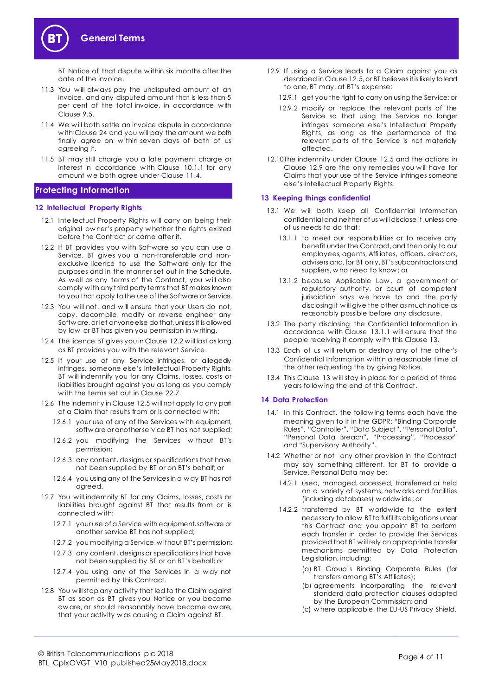

BT Notice of that dispute w ithin six months after the date of the invoice.

- 11.3 You w ill alw ays pay the undisputed amount of an invoice, and any disputed amount that is less than 5 per cent of the total invoice, in accordance w ith Clause [9.5.](#page-2-2)
- <span id="page-3-1"></span>11.4 We will both settle an invoice dispute in accordance w ith Claus[e 24](#page-7-2) and you will pay the amount we both finally agree on w ithin seven days of both of us agreeing it.
- 11.5 BT may still charge you a late payment charge or interest in accordance w ith Clause [10.1.1](#page-2-3) for any amount we both agree under Clau[se 11.](#page-3-1)4.

## <span id="page-3-0"></span>**Protecting Information**

#### **12 Intellectual Property Rights**

- 12.1 Intellectual Property Rights will carry on being their original ow ner's property w hether the rights existed before the Contract or came after it.
- <span id="page-3-2"></span>12.2 If BT provides you w ith Software so you can use a Service, BT gives you a non-transferable and nonexclusive licence to use the Softw are only for the purposes and in the manner set out in the Schedule. As well as any terms of the Contract, you will also comply w ith any third party terms that BT makes known to you that apply to the use of the Software or Service.
- 12.3 You will not, and will ensure that your Users do not, copy, decompile, modify or reverse engineer any Softw are, or let anyone else do that, unless it is allowed by law or BT has given you permission in w riting.
- 12.4 The licence BT gives you in Clause [12.2](#page-3-2) will last as long as BT provides you w ith the relevant Service.
- <span id="page-3-3"></span>12.5 If your use of any Service infringes, or allegedly infringes, someone else's Intellectual Property Rights, BT w ill indemnify you for any Claims, losses, costs or liabilities brought against you as long as you comply w ith the terms set out in Clau[se 22.](#page-7-3)7.
- 12.6 The indemnity in Clause [12.5](#page-3-3) w ill not apply to any part of a Claim that results from or is connected w ith:
	- 12.6.1 your use of any of the Services with equipment, softw are or another service BT has not supplied;
	- 12.6.2 you modifying the Services without BT's permission;
	- 12.6.3 any content, designs or specifications that have not been supplied by BT or on BT's behalf; or
	- 12.6.4 you using any of the Services in a w ay BT has not agreed.
- 12.7 You will indemnify BT for any Claims, losses, costs or liabilities brought against BT that results from or is connected w ith:
	- 12.7.1 your use of a Service w ith equipment, software or another service BT has not supplied;
	- 12.7.2 you modifying a Service, w ithout BT's permission;
	- 12.7.3 any content, designs or specifications that have not been supplied by BT or on BT's behalf; or
	- 12.7.4 you using any of the Services in a way not permitted by this Contract.
- 12.8 You will stop any activity that led to the Claim against BT as soon as BT gives you Notice or you become aw are, or should reasonably have become aw are, that your activity w as causing a Claim against BT.
- <span id="page-3-4"></span>12.9 If using a Service leads to a Claim against you as described in Claus[e 12.5,](#page-3-3) or BT believes it is likely to lead to one, BT may, at BT's expense:
	- 12.9.1 get you the right to carry on using the Service; or
	- 12.9.2 modify or replace the relevant parts of the Service so that using the Service no longer infringes someone else's Intellectual Property Rights, as long as the performance of the relevant parts of the Service is not materially affected.
- 12.10The indemnity under Clause [12.5](#page-3-3) and the actions in Clause [12.9](#page-3-4) are the only remedies you w ill have for Claims that your use of the Service infringes someone else's Intellectual Property Rights.

#### <span id="page-3-6"></span>**13 Keeping things confidential**

- <span id="page-3-5"></span>13.1 We will both keep all Confidential Information confidential and neither of us w ill disclose it, unless one of us needs to do that:
	- 13.1.1 to meet our responsibilities or to receive any benefit under the Contract, and then only to our employees, agents, Affiliates, officers, directors, advisers and, for BT only, BT's subcontractors and suppliers, w ho need to know ; or
	- 13.1.2 because Applicable Law, a government or regulatory authority, or court of competent jurisdiction says we have to and the party disclosing it w ill give the other as much notice as reasonably possible before any disclosure.
- 13.2 The party disclosing the Confidential Information in accordance w ith Clause [13.1.1](#page-3-5) w ill ensure that the people receiving it comply w ith this Clau[se 1](#page-3-6)3.
- 13.3 Each of us will return or destroy any of the other's Confidential Information w ithin a reasonable time of the other requesting this by giving Notice.
- 13.4 This Clause [13](#page-3-6) w ill stay in place for a period of three years follow ing the end of this Contract.

#### **14 Data Protection**

- 14.1 In this Contract, the following terms each have the meaning given to it in the GDPR: "Binding Corporate Rules", "Controller", "Data Subject", "Personal Data", "Personal Data Breach", "Processing", "Processor" and "Supervisory Authority".
- 14.2 Whether or not any other provision in the Contract may say something different, for BT to provide a Service, Personal Data may be:
	- 14.2.1 used, managed, accessed, transferred or held on a variety of systems, netw orks and facilities (including databases) w orldw ide; or
	- 14.2.2 transferred by BT w orldwide to the extent necessary to allow BT to fulfil its obligations under this Contract and you appoint BT to perform each transfer in order to provide the Services provided that BT w ill rely on appropriate transfer mechanisms permitted by Data Protection Legislation, including:
		- (a) BT Group's Binding Corporate Rules (for transfers among BT's Affiliates);
		- (b) agreements incorporating the relevant standard data protection clauses adopted by the European Commission; and
		- (c) w here applicable, the EU-US Privacy Shield.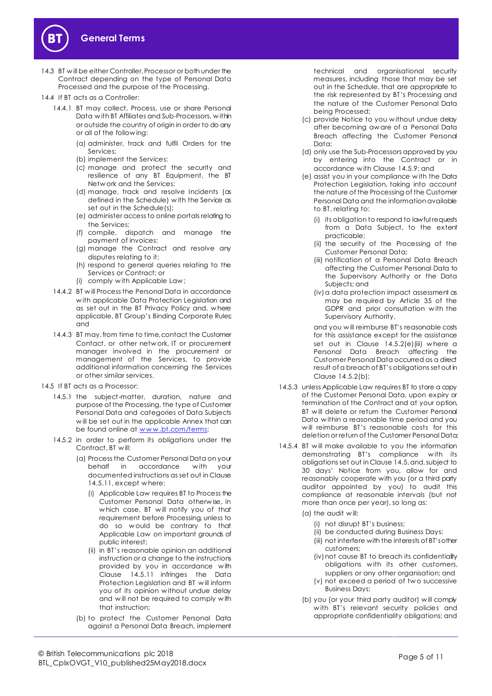



- 14.3 BT w ill be either Controller, Processor or both under the Contract depending on the type of Personal Data Processed and the purpose of the Processing.
- 14.4 If BT acts as a Controller:
	- 14.4.1 BT may collect, Process, use or share Personal Data w ith BT Affiliates and Sub-Processors, w ithin or outside the country of origin in order to do any or all of the follow ing:
		- (a) administer, track and fulfil Orders for the Services;
		- (b) implement the Services;
		- (c) manage and protect the security and resilience of any BT Equipment, the BT Netw ork and the Services;
		- (d) manage, track and resolve Incidents (as defined in the Schedule) w ith the Service as set out in the Schedule(s);
		- (e) administer access to online portals relating to the Services;
		- (f) compile, dispatch and manage the payment of invoices;
		- (g) manage the Contract and resolve any disputes relating to it;
		- (h) respond to general queries relating to the Services or Contract; or
		- (i) comply w ith Applicable Law ;
	- 14.4.2 BT w ill Process the Personal Data in accordance w ith applicable Data Protection Legislation and as set out in the BT Privacy Policy and, w here applicable, BT Group's Binding Corporate Rules; and
	- 14.4.3 BT may, from time to time, contact the Customer Contact, or other netw ork, IT or procurement manager involved in the procurement or management of the Services, to provide additional information concerning the Services or other similar services.
- 14.5 If BT acts as a Processor:
	- 14.5.1 the subject-matter, duration, nature and purpose of the Processing, the type of Customer Personal Data and categories of Data Subjects will be set out in the applicable Annex that can be found online at www.bt.com/terms;
	- 14.5.2 in order to perform its obligations under the Contract, BT w ill:
		- (a) Process the Customer Personal Data on your behalf in accordance w ith your documented instructions as set out in Clause 14.5.11, except w here:
			- (i) Applicable Law requires BT to Process the Customer Personal Data otherw ise, in w hich case, BT w ill notify you of that requirement before Processing, unless to do so w ould be contrary to that Applicable Law on important grounds of public interest;
			- (ii) in BT's reasonable opinion an additional instruction or a change to the instructions provided by you in accordance w ith Clause 14.5.11 infringes the Data Protection Legislation and BT w ill inform you of its opinion w ithout undue delay and will not be required to comply with that instruction;
		- (b) to protect the Customer Personal Data against a Personal Data Breach, implement

technical and organisational security measures, including those that may be set out in the Schedule, that are appropriate to the risk represented by BT's Processing and the nature of the Customer Personal Data being Processed;

- (c) provide Notice to you w ithout undue delay after becoming aw are of a Personal Data Breach affecting the Customer Personal Data;
- (d) only use the Sub-Processors approved by you by entering into the Contract or in accordance w ith Claus[e 14.5.9](#page-5-2); and
- (e) assist you in your compliance w ith the Data Protection Legislation, taking into account the nature of the Processing of the Customer Personal Data and the information available to BT, relating to:
	- (i) its obligation to respond to lawful requests from a Data Subject, to the extent practicable;
	- (ii) the security of the Processing of the Customer Personal Data;
	- (iii) notification of a Personal Data Breach affecting the Customer Personal Data to the Supervisory Authority or the Data Subjects; and
	- (iv)a data protection impact assessment as may be required by Article 35 of the GDPR and prior consultation w ith the Supervisory Authority,

and you w ill reimburse BT's reasonable costs for this assistance except for the assistance set out in Clause 14.5.2(e)(iii) where a Personal Data Breach affecting the Customer Personal Data occurred as a direct result of a breach of BT's obligations set out in Clause 14.5.2(b);

- 14.5.3 unless Applicable Law requires BT to store a copy of the Customer Personal Data, upon expiry or termination of the Contract and at your option, BT will delete or return the Customer Personal Data w ithin a reasonable time period and you will reimburse BT's reasonable costs for this deletion or return of the Customer Personal Data;
- 14.5.4 BT will make available to you the information demonstrating BT's compliance with its obligations set out in Clause 14.5, and, subject to 30 days' Notice from you, allow for and reasonably cooperate with you (or a third party auditor appointed by you) to audit this compliance at reasonable intervals (but not more than once per year), so long as:
	- (a) the audit w ill:
		- (i) not disrupt BT's business;
		- (ii) be conducted during Business Days;
		- (iii) not interfere with the interests of BT's other customers;
		- (iv) not cause BT to breach its confidentiality obligations w ith its other customers, suppliers or any other organisation; and
		- (v) not exceed a period of two successive Business Days;
	- (b) you (or your third party auditor) w ill comply w ith BT's relevant security policies and appropriate confidentiality obligations; and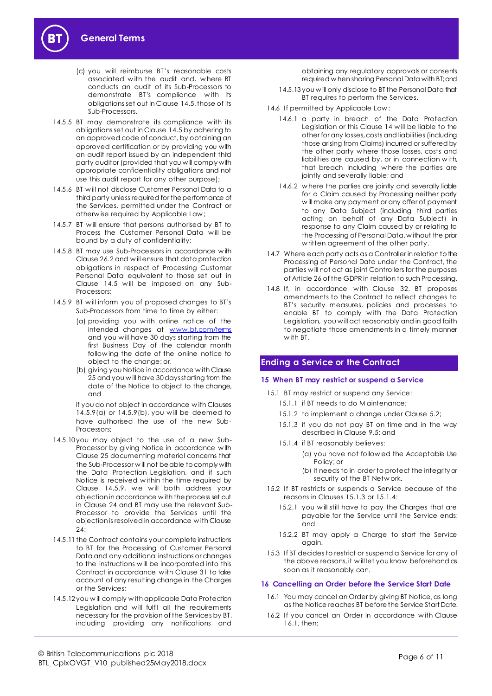

- (c) you w ill reimburse BT's reasonable costs associated w ith the audit and, w here BT conducts an audit of its Sub-Processors to demonstrate BT's compliance w ith its obligations set out in Clause 14.5, those of its Sub-Processors.
- 14.5.5 BT may demonstrate its compliance with its obligations set out in Clause 14.5 by adhering to an approved code of conduct, by obtaining an approved certification or by providing you with an audit report issued by an independent third party auditor (provided that you will comply with appropriate confidentiality obligations and not use this audit report for any other purpose);
- 14.5.6 BT w ill not disclose Customer Personal Data to a third party unless required for the performance of the Services, permitted under the Contract or otherw ise required by Applicable Law ;
- 14.5.7 BT w ill ensure that persons authorised by BT to Process the Customer Personal Data will be bound by a duty of confidentiality;
- 14.5.8 BT may use Sub-Processors in accordance w ith Clause 26.2 and w ill ensure that data protection obligations in respect of Processing Customer Personal Data equivalent to those set out in Clause 14.5 w ill be imposed on any Sub-Processors;
- <span id="page-5-2"></span>14.5.9 BT w ill inform you of proposed changes to BT's Sub-Processors from time to time by either:
	- (a) providing you w ith online notice of the intended changes at www.bt.com/tems and you w ill have 30 days starting from the first Business Day of the calendar month follow ing the date of the online notice to object to the change; or,
	- (b) giving you Notice in accordance w ith Clause 25 and you w ill have 30 days starting from the date of the Notice to object to the change, and

if you do not object in accordance w ith Clauses 14.5.9(a) or 14.5.9(b), you w ill be deemed to have authorised the use of the new Sub-Processors;

- 14.5.10 you may object to the use of a new Sub-Processor by giving Notice in accordance w ith Clause 25 documenting material concerns that the Sub-Processor w ill not be able to comply with the Data Protection Legislation, and if such Notice is received w ithin the time required by Clause 14.5.9, we will both address your objection in accordance w ith the process set out in Clause 24 and BT may use the relevant Sub-Processor to provide the Services until the objection is resolved in accordance w ith Clause 24;
- 14.5.11 the Contract contains your complete instructions to BT for the Processing of Customer Personal Data and any additional instructions or changes to the instructions w ill be incorporated into this Contract in accordance w ith Clause 31 to take account of any resulting change in the Charges or the Services;
- 14.5.12 you w ill comply w ith applicable Data Protection Legislation and w ill fulfil all the requirements necessary for the provision of the Services by BT, including providing any notifications and

obtaining any regulatory approvals or consents required w hen sharing Personal Data with BT; and

- 14.5.13 you w ill only disclose to BT the Personal Data that BT requires to perform the Services.
- 14.6 If permitted by Applicable Law :
	- 14.6.1 a party in breach of the Data Protection Legislation or this Clause 14 w ill be liable to the other for any losses, costs and liabilities (including those arising from Claims) incurred or suffered by the other party w here those losses, costs and liabilities are caused by, or in connection w ith, that breach including w here the parties are jointly and severally liable; and
	- 14.6.2 w here the parties are jointly and severally liable for a Claim caused by Processing neither party w ill make any payment or any offer of payment to any Data Subject (including third parties acting on behalf of any Data Subject) in response to any Claim caused by or relating to the Processing of Personal Data, w ithout the prior w ritten agreement of the other party.
- 14.7 Where each party acts as a Controller in relation to the Processing of Personal Data under the Contract, the parties w ill not act as joint Controllers for the purposes of Article 26 of the GDPR in relation to such Processing.
- 14.8 If, in accordance with Clause 32, BT proposes amendments to the Contract to reflect changes to BT's security measures, policies and processes to enable BT to comply w ith the Data Protection Legislation, you w ill act reasonably and in good faith to negotiate those amendments in a timely manner w ith BT.

## <span id="page-5-0"></span>**Ending a Service or the Contract**

## **15 When BT may restrict or suspend a Service**

- <span id="page-5-3"></span><span id="page-5-1"></span>15.1 BT may restrict or suspend any Service:
	- 15.1.1 if BT needs to do M aintenance;
	- 15.1.2 to implement a change under Claus[e 5.](#page-1-2)2;
	- 15.1.3 if you do not pay BT on time and in the way described in Claus[e 9.5](#page-2-2); and
	- 15.1.4 if BT reasonably believes:
		- (a) you have not follow ed the Acceptable Use Policy; or
		- (b) it needs to in order to protect the integrity or security of the BT Netw ork.
- <span id="page-5-4"></span>15.2 If BT restricts or suspends a Service because of the reasons in Clause[s 15.1.3](#page-5-3) [or 15.1.4](#page-5-4):
	- 15.2.1 you w ill still have to pay the Charges that are payable for the Service until the Service ends; and
	- 15.2.2 BT may apply a Charge to start the Service again.
- 15.3 If BT decides to restrict or suspend a Service for any of the above reasons, it w ill let you know beforehand as soon as it reasonably can.

## <span id="page-5-6"></span>**16 Cancelling an Order before the Service Start Date**

- <span id="page-5-5"></span>16.1 You may cancel an Order by giving BT Notice, as long as the Notice reaches BT before the Service Start Date.
- 16.2 If you cancel an Order in accordance w ith Clause [16.1,](#page-5-5) then: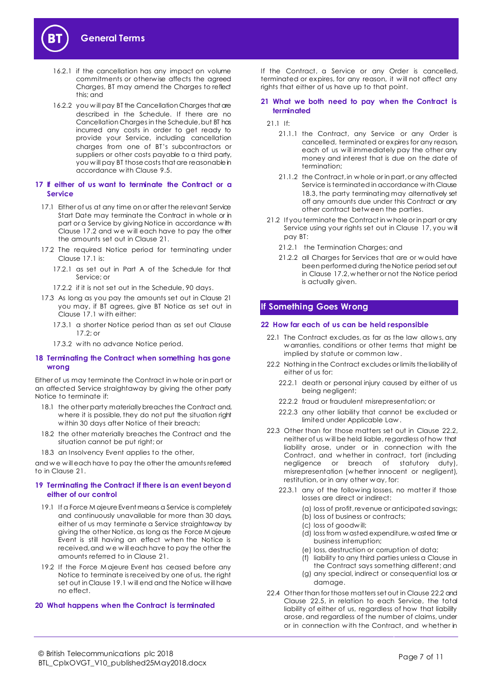

- 16.2.1 if the cancellation has any impact on volume commitments or otherw ise affects the agreed Charges, BT may amend the Charges to reflect this; and
- 16.2.2 you w ill pay BT the Cancellation Charges that are described in the Schedule. If there are no Cancellation Charges in the Schedule, but BT has incurred any costs in order to get ready to provide your Service, including cancellation charges from one of BT's subcontractors or suppliers or other costs payable to a third party, you w ill pay BT those costs that are reasonable in accordance w ith Claus[e 9.5](#page-2-2).

#### <span id="page-6-6"></span>**17 If either of us want to terminate the Contract or a Service**

- <span id="page-6-3"></span>17.1 Either of us at any time on or after the relevant Service Start Date may terminate the Contract in whole or in part or a Service by giving Notice in accordance w ith Clause [17.2](#page-6-1) and we will each have to pay the other the amounts set out in Claus[e 21](#page-6-2).
- <span id="page-6-1"></span>17.2 The required Notice period for terminating under Clause [17.1](#page-6-3) is:
	- 17.2.1 as set out in Part A of the Schedule for that Service; or
	- 17.2.2 if it is not set out in the Schedule, 90 days.
- 17.3 As long as you pay the amounts set out in Clause [21](#page-6-2) you may, if BT agrees, give BT Notice as set out in Clause [17.1](#page-6-3) w ith either:
	- 17.3.1 a shorter Notice period than as set out Clause [17.2;](#page-6-1) or
	- 17.3.2 w ith no advance Notice period.

#### **18 Terminating the Contract when something has gone wrong**

Either of us may terminate the Contract in w hole or in part or an affected Service straightaway by giving the other party Notice to terminate if:

- 18.1 the other party materially breaches the Contract and, w here it is possible, they do not put the situation right w ithin 30 days after Notice of their breach;
- 18.2 the other materially breaches the Contract and the situation cannot be put right; or
- <span id="page-6-5"></span>18.3 an Insolvency Event applies to the other,

and we will each have to pay the other the amounts referred to in Claus[e 21](#page-6-2).

#### **19 Terminating the Contract if there is an event beyond either of our control**

- <span id="page-6-4"></span>19.1 If a Force M ajeure Event means a Service is completely and continuously unavailable for more than 30 days, either of us may terminate a Service straightaway by giving the other Notice, as long as the Force M ajeure Event is still having an effect w hen the Notice is received, and w e w ill each have to pay the other the amounts referred to in Claus[e 21](#page-6-2).
- 19.2 If the Force M ajeure Event has ceased before any Notice to terminate is received by one of us, the right set out in Claus[e 19.1](#page-6-4) w ill end and the Notice w ill have no effect.

## **20 What happens when the Contract is terminated**

If the Contract, a Service or any Order is cancelled, terminated or expires, for any reason, it w ill not affect any rights that either of us have up to that point.

#### <span id="page-6-2"></span>**21 What we both need to pay when the Contract is terminated**

21.1 If:

- 21.1.1 the Contract, any Service or any Order is cancelled, terminated or expires for any reason, each of us w ill immediately pay the other any money and interest that is due on the date of termination;
- 21.1.2 the Contract, in w hole or in part, or any affected Service is terminated in accordance w ith Clause [18.3,](#page-6-5) the party terminating may alternatively set off any amounts due under this Contract or any other contract betw een the parties.
- 21.2 If you terminate the Contract in w hole or in part or any Service using your rights set out in Clause [17,](#page-6-6) you w ill pay BT:
	- 21.2.1 the Termination Charges; and
	- 21.2.2 all Charges for Services that are or w ould have been performed during the Notice period set out in Clause [17.2,](#page-6-1) w hether or not the Notice period is actually given.

## <span id="page-6-0"></span>**If Something Goes Wrong**

#### **22 How far each of us can be held responsible**

- 22.1 The Contract excludes, as far as the law allow s, any w arranties, conditions or other terms that might be implied by statute or common law .
- <span id="page-6-7"></span>22.2 Nothing in the Contract excludes or limits the liability of either of us for:
	- 22.2.1 death or personal injury caused by either of us being negligent;
	- 22.2.2 fraud or fraudulent misrepresentation; or
	- 22.2.3 any other liability that cannot be excluded or limited under Applicable Law .
- 22.3 Other than for those matters set out in Clause [22.2,](#page-6-7) neither of us w ill be held liable, regardless of how that liability arose, under or in connection with the Contract, and w hether in contract, tort (including negligence or breach of statutory duty), misrepresentation (w hether innocent or negligent), restitution, or in any other w ay, for:
	- 22.3.1 any of the follow ing losses, no matter if those losses are direct or indirect:
		- (a) loss of profit, revenue or anticipated savings;
		- (b) loss of business or contracts;
		- (c) loss of goodw ill;
		- (d) loss from w asted expenditure, w asted time or business interruption;
		- (e) loss, destruction or corruption of data;
		- (f) liability to any third parties unless a Clause in
		- the Contract says something different; and (g) any special, indirect or consequential loss or damage.
- <span id="page-6-8"></span>22.4 Other than for those matters set out in Claus[e 22.2](#page-6-7) and Clause [22.5,](#page-7-4) in relation to each Service, the total liability of either of us, regardless of how that liability arose, and regardless of the number of claims, under or in connection w ith the Contract, and w hether in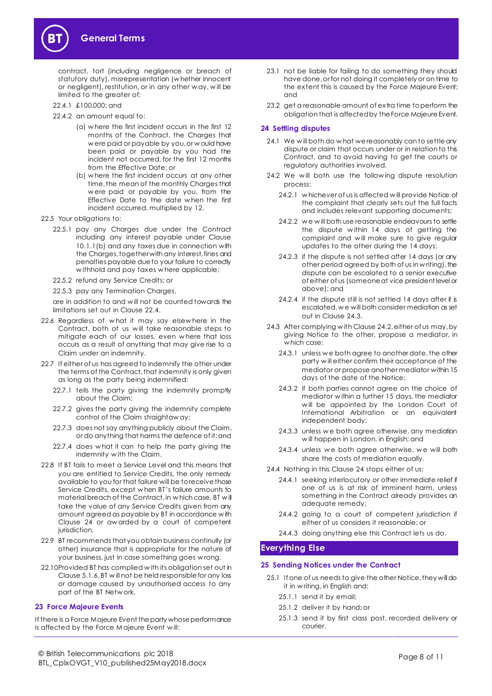

contract, tort (including negligence or breach of statutory duty), misrepresentation (w hether innocent or negligent), restitution, or in any other w ay, w ill be limited to the greater of:

- 22.4.1 £100,000; and
- 22.4.2 an amount equal to:
	- (a) w here the first incident occurs in the first 12 months of the Contract, the Charges that w ere paid or payable by you, or w ould have been paid or payable by you had the incident not occurred, for the first 12 months from the Effective Date; or
	- (b) w here the first incident occurs at any other time, the mean of the monthly Charges that w ere paid or payable by you, from the Effective Date to the date w hen the first incident occurred, multiplied by 12.
- <span id="page-7-4"></span>22.5 Your obligations to:
	- 22.5.1 pay any Charges due under the Contract including any interest payable under Clause [10.1.1\(b\)](#page-2-4) and any taxes due in connection with the Charges, together with any interest, fines and penalties payable due to your failure to correctly w ithhold and pay taxes w here applicable;
	- 22.5.2 refund any Service Credits; or
	- 22.5.3 pay any Termination Charges,

are in addition to and w ill not be counted towards the limitations set out in Claus[e 22.4](#page-6-8).

- 22.6 Regardless of w hat it may say elsew here in the Contract, both of us w ill take reasonable steps to mitigate each of our losses, even w here that loss occurs as a result of anything that may give rise to a Claim under an indemnity.
- <span id="page-7-3"></span>22.7 If either of us has agreed to indemnify the other under the terms of the Contract, that indemnity is only given as long as the party being indemnified:
	- 22.7.1 tells the party giving the indemnity promptly about the Claim;
	- 22.7.2 gives the party giving the indemnity complete control of the Claim straightaw ay;
	- 22.7.3 does not say anything publicly about the Claim, or do anything that harms the defence of it; and
	- 22.7.4 does w hat it can to help the party giving the indemnity w ith the Claim.
- 22.8 If BT fails to meet a Service Level and this means that you are entitled to Service Credits, the only remedy available to you for that failure will be to receive those Service Credits, except w hen BT's failure amounts to material breach of the Contract,in w hich case, BT w ill take the value of any Service Credits given from any amount agreed as payable by BT in accordance w ith Clause 24 or aw arded by a court of competent jurisdiction.
- 22.9 BT recommends that you obtain business continuity (or other) insurance that is appropriate for the nature of your business, just in case something goes w rong.
- 22.10Provided BT has complied w ith its obligation set out in Clause [5.1.6,](#page-1-3) BT w ill not be held responsible for any loss or damage caused by unauthorised access to any part of the BT Netw ork.

## <span id="page-7-1"></span>**23 Force Majeure Events**

If there is a Force Majeure Event the party whose performance is affected by the Force M ajeure Event w ill:

- 23.1 not be liable for failing to do something they should have done, or for not doing it completely or on time to the extent this is caused by the Force Majeure Event; and
- 23.2 get a reasonable amount of extra time to perform the obligation that is affected by the Force Majeure Event.

### <span id="page-7-2"></span>**24 Settling disputes**

- 24.1 We w ill both do w hat we reasonably can to settle any dispute or claim that occurs under or in relation to this Contract, and to avoid having to get the courts or regulatory authorities involved.
- <span id="page-7-6"></span>24.2 We will both use the following dispute resolution process:
	- 24.2.1 w hichever of us is affected w ill provide Notice of the complaint that clearly sets out the full facts and includes relevant supporting documents;
	- 24.2.2 we will both use reasonable endeavours to settle the dispute w ithin 14 days of getting the complaint and w ill make sure to give regular updates to the other during the 14 days;
	- 24.2.3 if the dispute is not settled after 14 days (or any other period agreed by both of us in w riting), the dispute can be escalated to a senior executive of either of us (someone at vice president level or above); and
	- 24.2.4 if the dispute still is not settled 14 days after it is escalated, w e will both consider mediation as set out in Claus[e 24.3](#page-7-5).
- <span id="page-7-5"></span>24.3 After complying w ith Claus[e 24.2,](#page-7-6) either of us may,by giving Notice to the other, propose a mediator, in w hich case:
	- 24.3.1 unless w e both agree to another date, the other party w ill either confirm their acceptance of the mediator or propose another mediator within 15 days of the date of the Notice;
	- 24.3.2 if both parties cannot agree on the choice of mediator w ithin a further 15 days, the mediator will be appointed by the London Court of International Arbitration or an equivalent independent body;
	- 24.3.3 unless we both agree otherwise, any mediation w ill happen in London, in English; and
	- 24.3.4 unless we both agree otherwise, we will both share the costs of mediation equally.
- 24.4 Nothing in this Claus[e 24](#page-7-2) stops either of us:
	- 24.4.1 seeking interlocutory or other immediate relief if one of us is at risk of imminent harm, unless something in the Contract already provides an adequate remedy;
	- 24.4.2 going to a court of competent jurisdiction if either of us considers it reasonable; or
	- 24.4.3 doing anything else this Contract lets us do.

## <span id="page-7-0"></span>**Everything Else**

## <span id="page-7-7"></span>**25 Sending Notices under the Contract**

- 25.1 If one of us needs to give the other Notice, they will do it in w riting, in English and:
	- 25.1.1 send it by email;
	- 25.1.2 deliver it by hand; or
	- 25.1.3 send it by first class post, recorded delivery or courier.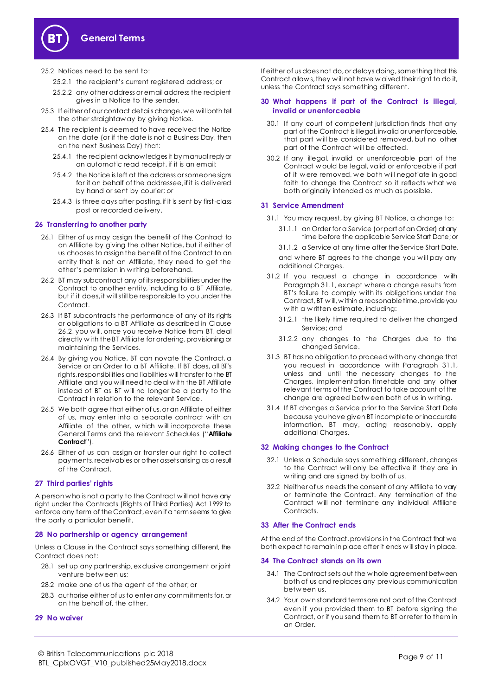

- 25.2.1 the recipient's current registered address; or
- 25.2.2 any other address or email address the recipient gives in a Notice to the sender.
- 25.3 If either of our contact details change, w e will both tell the other straightaw ay by giving Notice.
- 25.4 The recipient is deemed to have received the Notice on the date (or if the date is not a Business Day, then on the next Business Day) that:
	- 25.4.1 the recipient acknow ledges it by manual reply or an automatic read receipt, if it is an email;
	- 25.4.2 the Notice is left at the address or someone signs for it on behalf of the addressee, if it is delivered by hand or sent by courier; or
	- 25.4.3 is three days after posting, if it is sent by first-class post or recorded delivery.

#### **26 Transferring to another party**

- 26.1 Either of us may assign the benefit of the Contract to an Affiliate by giving the other Notice, but if either of us chooses to assign the benefit of the Contract to an entity that is not an Affiliate, they need to get the other's permission in w riting beforehand.
- <span id="page-8-0"></span>26.2 BT may subcontract any of its responsibilities under the Contract to another entity, including to a BT Affiliate, but if it does, it w ill still be responsible to you under the Contract.
- 26.3 If BT subcontracts the performance of any of its rights or obligations to a BT Affiliate as described in Clause [26.2,](#page-8-0) you w ill, once you receive Notice from BT, deal directly w ith the BT Affiliate for ordering, provisioning or maintaining the Services.
- 26.4 By giving you Notice, BT can novate the Contract, a Service or an Order to a BT Affiliate. If BT does, all BT's rights, responsibilities and liabilities will transfer to the BT Affiliate and you w ill need to deal w ith the BT Affiliate instead of BT as BT w ill no longer be a party to the Contract in relation to the relevant Service.
- <span id="page-8-3"></span>26.5 We both agree that either of us, or an Affiliate of either of us, may enter into a separate contract w ith an Affiliate of the other, w hich w ill incorporate these General Terms and the relevant Schedules ("**Affiliate Contract**").
- 26.6 Either of us can assign or transfer our right to collect payments, receivables or other assets arising as a result of the Contract.

#### **27 Third parties' rights**

A person w ho is not a party to the Contract w ill not have any right under the Contracts (Rights of Third Parties) Act 1999 to enforce any term of the Contract, even if a term seems to give the party a particular benefit.

#### **28 No partnership or agency arrangement**

Unless a Clause in the Contract says something different, the Contract does not:

- 28.1 set up any partnership, exclusive arrangement or joint venture betw een us;
- 28.2 make one of us the agent of the other; or
- 28.3 authorise either of us to enter any commitments for, or on the behalf of, the other.

#### **29 No waiver**

If either of us does not do, or delays doing, something that this Contract allows, they will not have w aived their right to do it, unless the Contract says something different.

#### **30 What happens if part of the Contract is illegal, invalid or unenforceable**

- 30.1 If any court of competent jurisdiction finds that any part of the Contract is illegal, invalid or unenforceable, that part will be considered removed, but no other part of the Contract w ill be affected.
- 30.2 If any illegal, invalid or unenforceable part of the Contract w ould be legal, valid or enforceable if part of it w ere removed, w e both w ill negotiate in good faith to change the Contract so it reflects w hat we both originally intended as much as possible.

#### **31 Service Amendment**

<span id="page-8-1"></span>31.1 You may request, by giving BT Notice, a change to:

- 31.1.1 an Order for a Service (or part of an Order) at any time before the applicable Service Start Date; or
- 31.1.2 a Service at any time after the Service Start Date, and w here BT agrees to the change you w ill pay any

additional Charges.

- 31.2 If you request a change in accordance w ith Paragraph 31.1, except where a change results from BT's failure to comply w ith its obligations under the Contract, BT w ill, w ithin a reasonable time, provide you with a written estimate, including:
	- 31.2.1 the likely time required to deliver the changed Service; and
	- 31.2.2 any changes to the Charges due to the changed Service.
- 31.3 BT has no obligation to proceed with any change that you request in accordance w ith Paragraph [31.1,](#page-8-1) unless and until the necessary changes to the Charges, implementation timetable and any other relevant terms of the Contract to take account of the change are agreed betw een both of us in w riting.
- 31.4 If BT changes a Service prior to the Service Start Date because you have given BT incomplete or inaccurate information, BT may, acting reasonably, apply additional Charges.

#### **32 Making changes to the Contract**

- 32.1 Unless a Schedule says something different, changes to the Contract w ill only be effective if they are in w riting and are signed by both of us.
- 32.2 Neither of us needs the consent of any Affiliate to vary or terminate the Contract. Any termination of the Contract w ill not terminate any individual Affiliate Contracts.

#### **33 After the Contract ends**

At the end of the Contract, provisions in the Contract that we both expect to remain in place after it ends w ill stay in place.

#### <span id="page-8-2"></span>**34 The Contract stands on its own**

- 34.1 The Contract sets out the w hole agreement between both of us and replaces any previous communication betw een us.
- 34.2 Your ow n standard terms are not part of the Contract even if you provided them to BT before signing the Contract, or if you send them to BT or refer to them in an Order.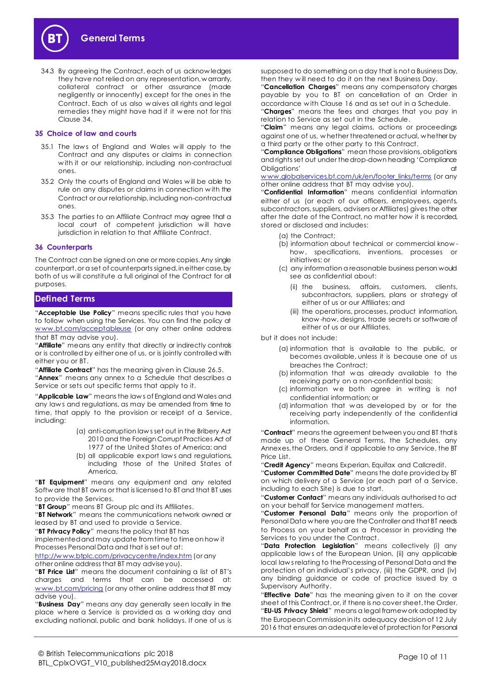

34.3 By agreeing the Contract, each of us acknow ledges they have not relied on any representation, w arranty, collateral contract or other assurance (made negligently or innocently) except for the ones in the Contract. Each of us also w aives all rights and legal remedies they might have had if it w ere not for this Clause [34.](#page-8-2)

#### **35 Choice of law and courts**

- 35.1 The laws of England and Wales will apply to the Contract and any disputes or claims in connection w ith it or our relationship, including non-contractual ones.
- 35.2 Only the courts of England and Wales w ill be able to rule on any disputes or claims in connection w ith the Contract or our relationship, including non-contractual ones.
- 35.3 The parties to an Affiliate Contract may agree that a local court of competent jurisdiction will have jurisdiction in relation to that Affiliate Contract.

#### **36 Counterparts**

The Contract can be signed on one or more copies. Any single counterpart, or a set of counterparts signed, in either case, by both of us w ill constitute a full original of the Contract for all purposes.

## <span id="page-9-0"></span>**Defined Terms**

"**Acceptable Use Policy**" means specific rules that you have to follow when using the Services. You can find the policy at www.bt.com/acceptableuse (or any other online address that BT may advise you).

"**Affiliate**" means any entity that directly or indirectly controls or is controlled by either one of us, or is jointly controlled with either you or BT.

"**Affiliate Contract**" has the meaning given in Clause [26.5](#page-8-3). "**Annex**" means any annex to a Schedule that describes a Service or sets out specific terms that apply to it.

"**Applicable Law**" means the law s of England and Wales and any law s and regulations, as may be amended from time to time, that apply to the provision or receipt of a Service, including:

- (a) anti-corruption law s set out in the Bribery Act 2010 and the Foreign Corrupt Practices Act of 1977 of the United States of America; and
- (b) all applicable export law s and regulations, including those of the United States of America.

"**BT Equipment**" means any equipment and any related Softw are that BT owns or that is licensed to BT and that BT uses to provide the Services.

"**BT Group**" means BT Group plc and its Affiliates.

"**BT Network**" means the communications network owned or leased by BT and used to provide a Service.

"**BT Privacy Policy**" means the policy that BT has

implemented and may update from time to time on how it Processes Personal Data and that is set out at:

http://www.btplc.com/privacycentre/index.htm (or any other online address that BT may advise you).

"**BT Price List**" means the document containing a list of BT's charges and terms that can be accessed at: www.bt.com/pricing (or any other online address that BT may advise you).

"**Business Day**" means any day generally seen locally in the place w here a Service is provided as a w orking day and excluding national, public and bank holidays. If one of us is supposed to do something on a day that is not a Business Day, then they w ill need to do it on the next Business Day.

"**Cancellation Charges**" means any compensatory charges payable by you to BT on cancellation of an Order in accordance w ith Claus[e 16](#page-5-6) and as set out in a Schedule.

"**Charges**" means the fees and charges that you pay in relation to Service as set out in the Schedule.

"**Claim**" means any legal claims, actions or proceedings against one of us, w hether threatened or actual, w hether by a third party or the other party to this Contract.

"**Compliance Obligations**" mean those provisions, obligations and rights set out under the drop-down heading 'Compliance Obligations' at the contract of the contract of the contract of the contract of the contract of the contract of the contract of the contract of the contract of the contract of the contract of the contract of the contract o

www.globalservices.bt.com/uk/en/footer\_links/terms (or any other online address that BT may advise you).

"**Confidential Information**" means confidential information either of us (or each of our officers, employees, agents, subcontractors, suppliers, advisers or Affiliates) gives the other after the date of the Contract, no matter how it is recorded, stored or disclosed and includes:

(a) the Contract;

- (b) information about technical or commercial know how, specifications, inventions, processes or initiatives; or
- (c) any information a reasonable business person would see as confidential about:
	- (ii) the business, affairs, customers, clients, subcontractors, suppliers, plans or strategy of either of us or our Affiliates; and
	- (iii) the operations, processes, product information, know -how, designs, trade secrets or software of either of us or our Affiliates,

but it does not include:

- (a) information that is available to the public, or becomes available, unless it is because one of us breaches the Contract;
- (b) information that w as already available to the receiving party on a non-confidential basis;
- (c) information we both agree in writing is not confidential information; or
- (d) information that w as developed by or for the receiving party independently of the confidential information.

"**Contract**" means the agreement between you and BT that is made up of these General Terms, the Schedules, any Annexes, the Orders, and if applicable to any Service, the BT Price List.

"**Credit Agency**" means Experian, Equifax and Callcredit.

"**Customer Committed Date**" means the date provided by BT on w hich delivery of a Service (or each part of a Service, including to each Site) is due to start.

"**Customer Contact**" means any individuals authorised to act on your behalf for Service management matters.

"**Customer Personal Data**" means only the proportion of Personal Data w here you are the Controller and that BT needs to Process on your behalf as a Processor in providing the Services to you under the Contract.

"**Data Protection Legislation**" means collectively (i) any applicable law s of the European Union, (ii) any applicable local law s relating to the Processing of Personal Data and the protection of an individual's privacy, (iii) the GDPR, and (iv) any binding guidance or code of practice issued by a Supervisory Authority.

"**Effective Date**" has the meaning given to it on the cover sheet of this Contract, or, if there is no cover sheet, the Order. "**EU-US Privacy Shield**" means a legal framew ork adopted by the European Commission in its adequacy decision of 12 July 2016 that ensures an adequate level of protection for Personal